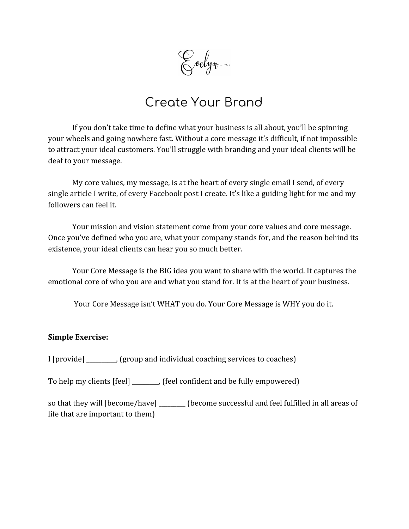Evelyn-

# Create Your Brand

If you don't take time to define what your business is all about, you'll be spinning your wheels and going nowhere fast. Without a core message it's difficult, if not impossible to attract your ideal customers. You'll struggle with branding and your ideal clients will be deaf to your message.

My core values, my message, is at the heart of every single email I send, of every single article I write, of every Facebook post I create. It's like a guiding light for me and my followers can feel it.

Your mission and vision statement come from your core values and core message. Once you've defined who you are, what your company stands for, and the reason behind its existence, your ideal clients can hear you so much better.

Your Core Message is the BIG idea you want to share with the world. It captures the emotional core of who you are and what you stand for. It is at the heart of your business.

Your Core Message isn't WHAT you do. Your Core Message is WHY you do it.

#### **Simple Exercise:**

I [provide] \_\_\_\_\_\_\_\_\_\_, (group and individual coaching services to coaches)

To help my clients [feel] \_\_\_\_\_\_\_\_\_, (feel confident and be fully empowered)

so that they will [become/have] \_\_\_\_\_\_\_\_ (become successful and feel fulfilled in all areas of life that are important to them)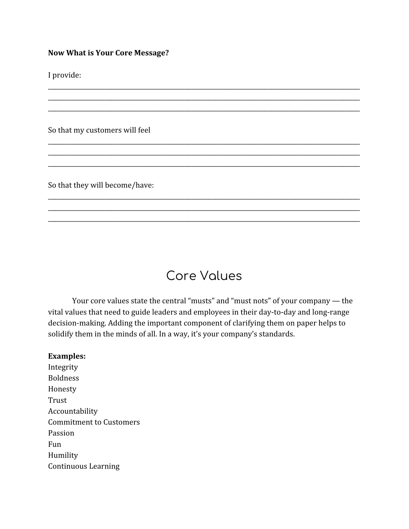#### **Now What is Your Core Message?**

I provide:

So that my customers will feel

So that they will become/have:

# Core Values

\_\_\_\_\_\_\_\_\_\_\_\_\_\_\_\_\_\_\_\_\_\_\_\_\_\_\_\_\_\_\_\_\_\_\_\_\_\_\_\_\_\_\_\_\_\_\_\_\_\_\_\_\_\_\_\_\_\_\_\_\_\_\_\_\_\_\_\_\_\_\_\_\_\_\_\_\_\_\_\_\_\_\_\_\_\_\_\_\_\_\_\_\_\_\_\_\_\_\_\_\_\_\_\_\_ \_\_\_\_\_\_\_\_\_\_\_\_\_\_\_\_\_\_\_\_\_\_\_\_\_\_\_\_\_\_\_\_\_\_\_\_\_\_\_\_\_\_\_\_\_\_\_\_\_\_\_\_\_\_\_\_\_\_\_\_\_\_\_\_\_\_\_\_\_\_\_\_\_\_\_\_\_\_\_\_\_\_\_\_\_\_\_\_\_\_\_\_\_\_\_\_\_\_\_\_\_\_\_\_\_ \_\_\_\_\_\_\_\_\_\_\_\_\_\_\_\_\_\_\_\_\_\_\_\_\_\_\_\_\_\_\_\_\_\_\_\_\_\_\_\_\_\_\_\_\_\_\_\_\_\_\_\_\_\_\_\_\_\_\_\_\_\_\_\_\_\_\_\_\_\_\_\_\_\_\_\_\_\_\_\_\_\_\_\_\_\_\_\_\_\_\_\_\_\_\_\_\_\_\_\_\_\_\_\_\_

\_\_\_\_\_\_\_\_\_\_\_\_\_\_\_\_\_\_\_\_\_\_\_\_\_\_\_\_\_\_\_\_\_\_\_\_\_\_\_\_\_\_\_\_\_\_\_\_\_\_\_\_\_\_\_\_\_\_\_\_\_\_\_\_\_\_\_\_\_\_\_\_\_\_\_\_\_\_\_\_\_\_\_\_\_\_\_\_\_\_\_\_\_\_\_\_\_\_\_\_\_\_\_\_\_ \_\_\_\_\_\_\_\_\_\_\_\_\_\_\_\_\_\_\_\_\_\_\_\_\_\_\_\_\_\_\_\_\_\_\_\_\_\_\_\_\_\_\_\_\_\_\_\_\_\_\_\_\_\_\_\_\_\_\_\_\_\_\_\_\_\_\_\_\_\_\_\_\_\_\_\_\_\_\_\_\_\_\_\_\_\_\_\_\_\_\_\_\_\_\_\_\_\_\_\_\_\_\_\_\_ \_\_\_\_\_\_\_\_\_\_\_\_\_\_\_\_\_\_\_\_\_\_\_\_\_\_\_\_\_\_\_\_\_\_\_\_\_\_\_\_\_\_\_\_\_\_\_\_\_\_\_\_\_\_\_\_\_\_\_\_\_\_\_\_\_\_\_\_\_\_\_\_\_\_\_\_\_\_\_\_\_\_\_\_\_\_\_\_\_\_\_\_\_\_\_\_\_\_\_\_\_\_\_\_\_

\_\_\_\_\_\_\_\_\_\_\_\_\_\_\_\_\_\_\_\_\_\_\_\_\_\_\_\_\_\_\_\_\_\_\_\_\_\_\_\_\_\_\_\_\_\_\_\_\_\_\_\_\_\_\_\_\_\_\_\_\_\_\_\_\_\_\_\_\_\_\_\_\_\_\_\_\_\_\_\_\_\_\_\_\_\_\_\_\_\_\_\_\_\_\_\_\_\_\_\_\_\_\_\_\_ \_\_\_\_\_\_\_\_\_\_\_\_\_\_\_\_\_\_\_\_\_\_\_\_\_\_\_\_\_\_\_\_\_\_\_\_\_\_\_\_\_\_\_\_\_\_\_\_\_\_\_\_\_\_\_\_\_\_\_\_\_\_\_\_\_\_\_\_\_\_\_\_\_\_\_\_\_\_\_\_\_\_\_\_\_\_\_\_\_\_\_\_\_\_\_\_\_\_\_\_\_\_\_\_\_ \_\_\_\_\_\_\_\_\_\_\_\_\_\_\_\_\_\_\_\_\_\_\_\_\_\_\_\_\_\_\_\_\_\_\_\_\_\_\_\_\_\_\_\_\_\_\_\_\_\_\_\_\_\_\_\_\_\_\_\_\_\_\_\_\_\_\_\_\_\_\_\_\_\_\_\_\_\_\_\_\_\_\_\_\_\_\_\_\_\_\_\_\_\_\_\_\_\_\_\_\_\_\_\_\_

Your core values state the central "musts" and "must nots" of your company — the vital values that need to guide leaders and employees in their day-to-day and long-range decision-making. Adding the important component of clarifying them on paper helps to solidify them in the minds of all. In a way, it's your company's standards.

#### **Examples:**

Integrity Boldness Honesty Trust Accountability Commitment to Customers Passion Fun Humility Continuous Learning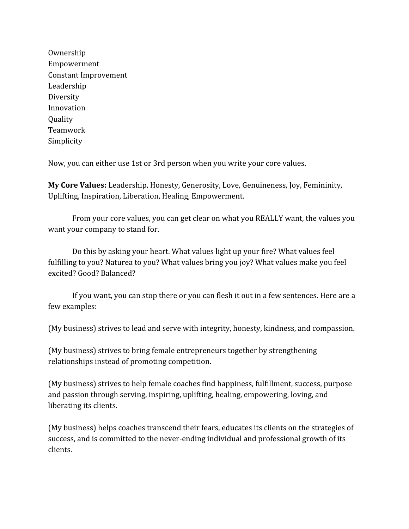Ownership Empowerment Constant Improvement Leadership Diversity Innovation **Ouality** Teamwork Simplicity

Now, you can either use 1st or 3rd person when you write your core values.

**My Core Values:** Leadership, Honesty, Generosity, Love, Genuineness, Joy, Femininity, Uplifting, Inspiration, Liberation, Healing, Empowerment.

From your core values, you can get clear on what you REALLY want, the values you want your company to stand for.

Do this by asking your heart. What values light up your fire? What values feel fulfilling to you? Naturea to you? What values bring you joy? What values make you feel excited? Good? Balanced?

If you want, you can stop there or you can flesh it out in a few sentences. Here are a few examples:

(My business) strives to lead and serve with integrity, honesty, kindness, and compassion.

(My business) strives to bring female entrepreneurs together by strengthening relationships instead of promoting competition.

(My business) strives to help female coaches find happiness, fulfillment, success, purpose and passion through serving, inspiring, uplifting, healing, empowering, loving, and liberating its clients.

(My business) helps coaches transcend their fears, educates its clients on the strategies of success, and is committed to the never-ending individual and professional growth of its clients.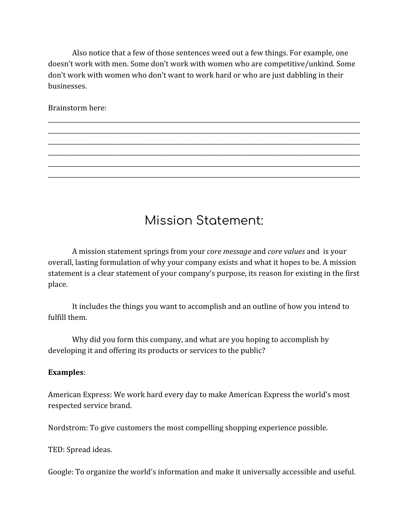Also notice that a few of those sentences weed out a few things. For example, one doesn't work with men. Some don't work with women who are competitive/unkind. Some don't work with women who don't want to work hard or who are just dabbling in their businesses.

\_\_\_\_\_\_\_\_\_\_\_\_\_\_\_\_\_\_\_\_\_\_\_\_\_\_\_\_\_\_\_\_\_\_\_\_\_\_\_\_\_\_\_\_\_\_\_\_\_\_\_\_\_\_\_\_\_\_\_\_\_\_\_\_\_\_\_\_\_\_\_\_\_\_\_\_\_\_\_\_\_\_\_\_\_\_\_\_\_\_\_\_\_\_\_\_\_\_\_\_\_\_\_\_\_ \_\_\_\_\_\_\_\_\_\_\_\_\_\_\_\_\_\_\_\_\_\_\_\_\_\_\_\_\_\_\_\_\_\_\_\_\_\_\_\_\_\_\_\_\_\_\_\_\_\_\_\_\_\_\_\_\_\_\_\_\_\_\_\_\_\_\_\_\_\_\_\_\_\_\_\_\_\_\_\_\_\_\_\_\_\_\_\_\_\_\_\_\_\_\_\_\_\_\_\_\_\_\_\_\_ \_\_\_\_\_\_\_\_\_\_\_\_\_\_\_\_\_\_\_\_\_\_\_\_\_\_\_\_\_\_\_\_\_\_\_\_\_\_\_\_\_\_\_\_\_\_\_\_\_\_\_\_\_\_\_\_\_\_\_\_\_\_\_\_\_\_\_\_\_\_\_\_\_\_\_\_\_\_\_\_\_\_\_\_\_\_\_\_\_\_\_\_\_\_\_\_\_\_\_\_\_\_\_\_\_ \_\_\_\_\_\_\_\_\_\_\_\_\_\_\_\_\_\_\_\_\_\_\_\_\_\_\_\_\_\_\_\_\_\_\_\_\_\_\_\_\_\_\_\_\_\_\_\_\_\_\_\_\_\_\_\_\_\_\_\_\_\_\_\_\_\_\_\_\_\_\_\_\_\_\_\_\_\_\_\_\_\_\_\_\_\_\_\_\_\_\_\_\_\_\_\_\_\_\_\_\_\_\_\_\_ \_\_\_\_\_\_\_\_\_\_\_\_\_\_\_\_\_\_\_\_\_\_\_\_\_\_\_\_\_\_\_\_\_\_\_\_\_\_\_\_\_\_\_\_\_\_\_\_\_\_\_\_\_\_\_\_\_\_\_\_\_\_\_\_\_\_\_\_\_\_\_\_\_\_\_\_\_\_\_\_\_\_\_\_\_\_\_\_\_\_\_\_\_\_\_\_\_\_\_\_\_\_\_\_\_ \_\_\_\_\_\_\_\_\_\_\_\_\_\_\_\_\_\_\_\_\_\_\_\_\_\_\_\_\_\_\_\_\_\_\_\_\_\_\_\_\_\_\_\_\_\_\_\_\_\_\_\_\_\_\_\_\_\_\_\_\_\_\_\_\_\_\_\_\_\_\_\_\_\_\_\_\_\_\_\_\_\_\_\_\_\_\_\_\_\_\_\_\_\_\_\_\_\_\_\_\_\_\_\_\_

Brainstorm here:

# Mission Statement:

A mission statement springs from your *core message* and *core values* and is your overall, lasting formulation of why your company exists and what it hopes to be. A mission statement is a clear statement of your company's purpose, its reason for existing in the first place.

It includes the things you want to accomplish and an outline of how you intend to fulfill them.

Why did you form this company, and what are you hoping to accomplish by developing it and offering its products or services to the public?

#### **Examples**:

American Express: We work hard every day to make American Express the world's most respected service brand.

Nordstrom: To give customers the most compelling shopping experience possible.

TED: Spread ideas.

Google: To organize the world's information and make it universally accessible and useful.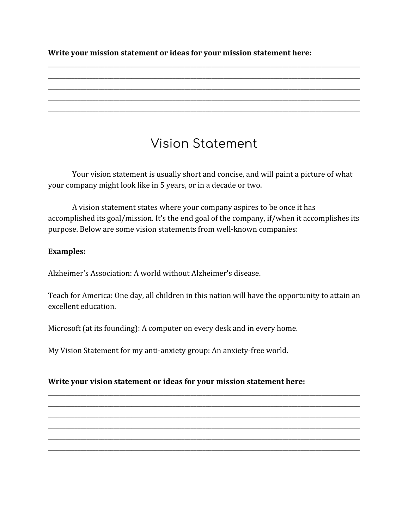**Write your mission statement or ideas for your mission statement here:**

# Vision Statement

\_\_\_\_\_\_\_\_\_\_\_\_\_\_\_\_\_\_\_\_\_\_\_\_\_\_\_\_\_\_\_\_\_\_\_\_\_\_\_\_\_\_\_\_\_\_\_\_\_\_\_\_\_\_\_\_\_\_\_\_\_\_\_\_\_\_\_\_\_\_\_\_\_\_\_\_\_\_\_\_\_\_\_\_\_\_\_\_\_\_\_\_\_\_\_\_\_\_\_\_\_\_\_\_\_ \_\_\_\_\_\_\_\_\_\_\_\_\_\_\_\_\_\_\_\_\_\_\_\_\_\_\_\_\_\_\_\_\_\_\_\_\_\_\_\_\_\_\_\_\_\_\_\_\_\_\_\_\_\_\_\_\_\_\_\_\_\_\_\_\_\_\_\_\_\_\_\_\_\_\_\_\_\_\_\_\_\_\_\_\_\_\_\_\_\_\_\_\_\_\_\_\_\_\_\_\_\_\_\_\_ \_\_\_\_\_\_\_\_\_\_\_\_\_\_\_\_\_\_\_\_\_\_\_\_\_\_\_\_\_\_\_\_\_\_\_\_\_\_\_\_\_\_\_\_\_\_\_\_\_\_\_\_\_\_\_\_\_\_\_\_\_\_\_\_\_\_\_\_\_\_\_\_\_\_\_\_\_\_\_\_\_\_\_\_\_\_\_\_\_\_\_\_\_\_\_\_\_\_\_\_\_\_\_\_\_ \_\_\_\_\_\_\_\_\_\_\_\_\_\_\_\_\_\_\_\_\_\_\_\_\_\_\_\_\_\_\_\_\_\_\_\_\_\_\_\_\_\_\_\_\_\_\_\_\_\_\_\_\_\_\_\_\_\_\_\_\_\_\_\_\_\_\_\_\_\_\_\_\_\_\_\_\_\_\_\_\_\_\_\_\_\_\_\_\_\_\_\_\_\_\_\_\_\_\_\_\_\_\_\_\_ \_\_\_\_\_\_\_\_\_\_\_\_\_\_\_\_\_\_\_\_\_\_\_\_\_\_\_\_\_\_\_\_\_\_\_\_\_\_\_\_\_\_\_\_\_\_\_\_\_\_\_\_\_\_\_\_\_\_\_\_\_\_\_\_\_\_\_\_\_\_\_\_\_\_\_\_\_\_\_\_\_\_\_\_\_\_\_\_\_\_\_\_\_\_\_\_\_\_\_\_\_\_\_\_\_

Your vision statement is usually short and concise, and will paint a picture of what your company might look like in 5 years, or in a decade or two.

A vision statement states where your company aspires to be once it has accomplished its goal/mission. It's the end goal of the company, if/when it accomplishes its purpose. Below are some vision statements from well-known companies:

## **Examples:**

Alzheimer's Association: A world without Alzheimer's disease.

Teach for America: One day, all children in this nation will have the opportunity to attain an excellent education.

\_\_\_\_\_\_\_\_\_\_\_\_\_\_\_\_\_\_\_\_\_\_\_\_\_\_\_\_\_\_\_\_\_\_\_\_\_\_\_\_\_\_\_\_\_\_\_\_\_\_\_\_\_\_\_\_\_\_\_\_\_\_\_\_\_\_\_\_\_\_\_\_\_\_\_\_\_\_\_\_\_\_\_\_\_\_\_\_\_\_\_\_\_\_\_\_\_\_\_\_\_\_\_\_\_ \_\_\_\_\_\_\_\_\_\_\_\_\_\_\_\_\_\_\_\_\_\_\_\_\_\_\_\_\_\_\_\_\_\_\_\_\_\_\_\_\_\_\_\_\_\_\_\_\_\_\_\_\_\_\_\_\_\_\_\_\_\_\_\_\_\_\_\_\_\_\_\_\_\_\_\_\_\_\_\_\_\_\_\_\_\_\_\_\_\_\_\_\_\_\_\_\_\_\_\_\_\_\_\_\_ \_\_\_\_\_\_\_\_\_\_\_\_\_\_\_\_\_\_\_\_\_\_\_\_\_\_\_\_\_\_\_\_\_\_\_\_\_\_\_\_\_\_\_\_\_\_\_\_\_\_\_\_\_\_\_\_\_\_\_\_\_\_\_\_\_\_\_\_\_\_\_\_\_\_\_\_\_\_\_\_\_\_\_\_\_\_\_\_\_\_\_\_\_\_\_\_\_\_\_\_\_\_\_\_\_ \_\_\_\_\_\_\_\_\_\_\_\_\_\_\_\_\_\_\_\_\_\_\_\_\_\_\_\_\_\_\_\_\_\_\_\_\_\_\_\_\_\_\_\_\_\_\_\_\_\_\_\_\_\_\_\_\_\_\_\_\_\_\_\_\_\_\_\_\_\_\_\_\_\_\_\_\_\_\_\_\_\_\_\_\_\_\_\_\_\_\_\_\_\_\_\_\_\_\_\_\_\_\_\_\_ \_\_\_\_\_\_\_\_\_\_\_\_\_\_\_\_\_\_\_\_\_\_\_\_\_\_\_\_\_\_\_\_\_\_\_\_\_\_\_\_\_\_\_\_\_\_\_\_\_\_\_\_\_\_\_\_\_\_\_\_\_\_\_\_\_\_\_\_\_\_\_\_\_\_\_\_\_\_\_\_\_\_\_\_\_\_\_\_\_\_\_\_\_\_\_\_\_\_\_\_\_\_\_\_\_ \_\_\_\_\_\_\_\_\_\_\_\_\_\_\_\_\_\_\_\_\_\_\_\_\_\_\_\_\_\_\_\_\_\_\_\_\_\_\_\_\_\_\_\_\_\_\_\_\_\_\_\_\_\_\_\_\_\_\_\_\_\_\_\_\_\_\_\_\_\_\_\_\_\_\_\_\_\_\_\_\_\_\_\_\_\_\_\_\_\_\_\_\_\_\_\_\_\_\_\_\_\_\_\_\_

Microsoft (at its founding): A computer on every desk and in every home.

My Vision Statement for my anti-anxiety group: An anxiety-free world.

## **Write your vision statement or ideas for your mission statement here:**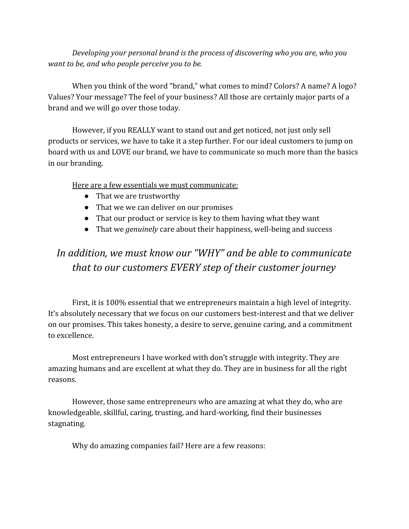*Developing your personal brand is the process of discovering who you are, who you want to be, and who people perceive you to be.*

When you think of the word "brand," what comes to mind? Colors? A name? A logo? Values? Your message? The feel of your business? All those are certainly major parts of a brand and we will go over those today.

However, if you REALLY want to stand out and get noticed, not just only sell products or services, we have to take it a step further. For our ideal customers to jump on board with us and LOVE our brand, we have to communicate so much more than the basics in our branding.

Here are a few essentials we must communicate:

- That we are trustworthy
- That we we can deliver on our promises
- That our product or service is key to them having what they want
- That we *genuinely* care about their happiness, well-being and success

# *In addition, we must know our "WHY" and be able to communicate that to our customers EVERY step of their customer journey*

First, it is 100% essential that we entrepreneurs maintain a high level of integrity. It's absolutely necessary that we focus on our customers best-interest and that we deliver on our promises. This takes honesty, a desire to serve, genuine caring, and a commitment to excellence.

Most entrepreneurs I have worked with don't struggle with integrity. They are amazing humans and are excellent at what they do. They are in business for all the right reasons.

However, those same entrepreneurs who are amazing at what they do, who are knowledgeable, skillful, caring, trusting, and hard-working, find their businesses stagnating.

Why do amazing companies fail? Here are a few reasons: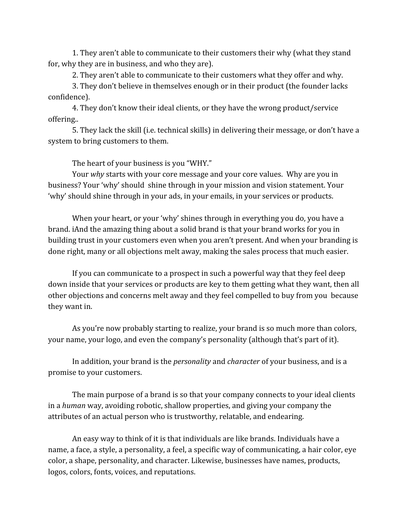1. They aren't able to communicate to their customers their why (what they stand for, why they are in business, and who they are).

2. They aren't able to communicate to their customers what they offer and why.

3. They don't believe in themselves enough or in their product (the founder lacks confidence).

4. They don't know their ideal clients, or they have the wrong product/service offering..

5. They lack the skill (i.e. technical skills) in delivering their message, or don't have a system to bring customers to them.

The heart of your business is you "WHY."

Your *why* starts with your core message and your core values. Why are you in business? Your 'why' should shine through in your mission and vision statement. Your 'why' should shine through in your ads, in your emails, in your services or products.

When your heart, or your 'why' shines through in everything you do, you have a brand. iAnd the amazing thing about a solid brand is that your brand works for you in building trust in your customers even when you aren't present. And when your branding is done right, many or all objections melt away, making the sales process that much easier.

If you can communicate to a prospect in such a powerful way that they feel deep down inside that your services or products are key to them getting what they want, then all other objections and concerns melt away and they feel compelled to buy from you because they want in.

As you're now probably starting to realize, your brand is so much more than colors, your name, your logo, and even the company's personality (although that's part of it).

In addition, your brand is the *personality* and *character* of your business, and is a promise to your customers.

The main purpose of a brand is so that your company connects to your ideal clients in a *human* way, avoiding robotic, shallow properties, and giving your company the attributes of an actual person who is trustworthy, relatable, and endearing.

An easy way to think of it is that individuals are like brands. Individuals have a name, a face, a style, a personality, a feel, a specific way of communicating, a hair color, eye color, a shape, personality, and character. Likewise, businesses have names, products, logos, colors, fonts, voices, and reputations.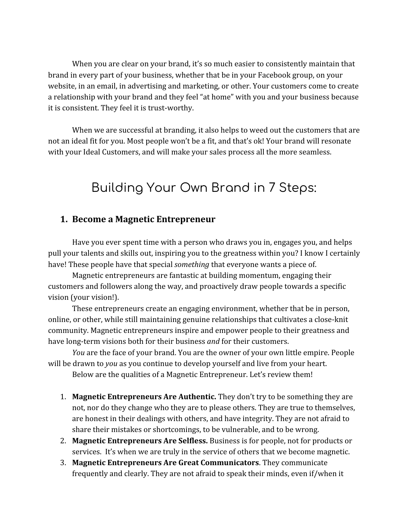When you are clear on your brand, it's so much easier to consistently maintain that brand in every part of your business, whether that be in your Facebook group, on your website, in an email, in advertising and marketing, or other. Your customers come to create a relationship with your brand and they feel "at home" with you and your business because it is consistent. They feel it is trust-worthy.

When we are successful at branding, it also helps to weed out the customers that are not an ideal fit for you. Most people won't be a fit, and that's ok! Your brand will resonate with your Ideal Customers, and will make your sales process all the more seamless.

# Building Your Own Brand in 7 Steps:

#### **1. Become a Magnetic Entrepreneur**

Have you ever spent time with a person who draws you in, engages you, and helps pull your talents and skills out, inspiring you to the greatness within you? I know I certainly have! These people have that special *something* that everyone wants a piece of.

Magnetic entrepreneurs are fantastic at building momentum, engaging their customers and followers along the way, and proactively draw people towards a specific vision (your vision!).

These entrepreneurs create an engaging environment, whether that be in person, online, or other, while still maintaining genuine relationships that cultivates a close-knit community. Magnetic entrepreneurs inspire and empower people to their greatness and have long-term visions both for their business *and* for their customers.

*You* are the face of your brand. You are the owner of your own little empire. People will be drawn to *you* as you continue to develop yourself and live from your heart.

Below are the qualities of a Magnetic Entrepreneur. Let's review them!

- 1. **Magnetic Entrepreneurs Are Authentic.** They don't try to be something they are not, nor do they change who they are to please others. They are true to themselves, are honest in their dealings with others, and have integrity. They are not afraid to share their mistakes or shortcomings, to be vulnerable, and to be wrong.
- 2. **Magnetic Entrepreneurs Are Selfless.** Business is for people, not for products or services. It's when we are truly in the service of others that we become magnetic.
- 3. **Magnetic Entrepreneurs Are Great Communicators**. They communicate frequently and clearly. They are not afraid to speak their minds, even if/when it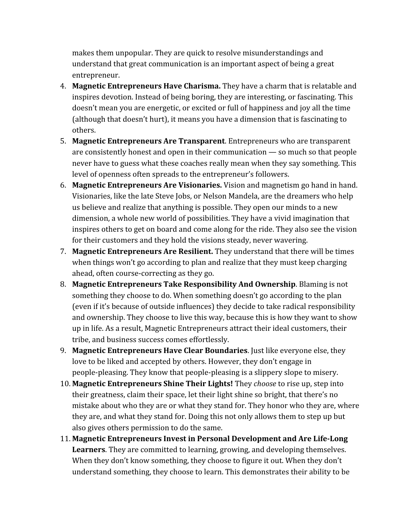makes them unpopular. They are quick to resolve misunderstandings and understand that great communication is an important aspect of being a great entrepreneur.

- 4. **Magnetic Entrepreneurs Have Charisma.** They have a charm that is relatable and inspires devotion. Instead of being boring, they are interesting, or fascinating. This doesn't mean you are energetic, or excited or full of happiness and joy all the time (although that doesn't hurt), it means you have a dimension that is fascinating to others.
- 5. **Magnetic Entrepreneurs Are Transparent**. Entrepreneurs who are transparent are consistently honest and open in their communication — so much so that people never have to guess what these coaches really mean when they say something. This level of openness often spreads to the entrepreneur's followers.
- 6. **Magnetic Entrepreneurs Are Visionaries.** Vision and magnetism go hand in hand. Visionaries, like the late Steve Jobs, or Nelson Mandela, are the dreamers who help us believe and realize that anything is possible. They open our minds to a new dimension, a whole new world of possibilities. They have a vivid imagination that inspires others to get on board and come along for the ride. They also see the vision for their customers and they hold the visions steady, never wavering.
- 7. **Magnetic Entrepreneurs Are Resilient.** They understand that there will be times when things won't go according to plan and realize that they must keep charging ahead, often course-correcting as they go.
- 8. **Magnetic Entrepreneurs Take Responsibility And Ownership**. Blaming is not something they choose to do. When something doesn't go according to the plan (even if it's because of outside influences) they decide to take radical responsibility and ownership. They choose to live this way, because this is how they want to show up in life. As a result, Magnetic Entrepreneurs attract their ideal customers, their tribe, and business success comes effortlessly.
- 9. **Magnetic Entrepreneurs Have Clear Boundaries**. Just like everyone else, they love to be liked and accepted by others. However, they don't engage in people-pleasing. They know that people-pleasing is a slippery slope to misery.
- 10. **Magnetic Entrepreneurs Shine Their Lights!** They *choose* to rise up, step into their greatness, claim their space, let their light shine so bright, that there's no mistake about who they are or what they stand for. They honor who they are, where they are, and what they stand for. Doing this not only allows them to step up but also gives others permission to do the same.
- 11. **Magnetic Entrepreneurs Invest in Personal Development and Are Life-Long Learners**. They are committed to learning, growing, and developing themselves. When they don't know something, they choose to figure it out. When they don't understand something, they choose to learn. This demonstrates their ability to be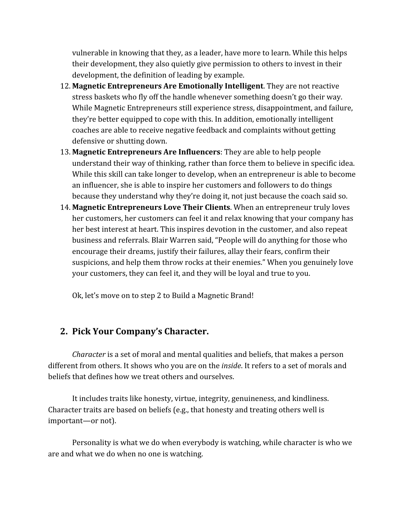vulnerable in knowing that they, as a leader, have more to learn. While this helps their development, they also quietly give permission to others to invest in their development, the definition of leading by example.

- 12. **Magnetic Entrepreneurs Are Emotionally Intelligent**. They are not reactive stress baskets who fly off the handle whenever something doesn't go their way. While Magnetic Entrepreneurs still experience stress, disappointment, and failure, they're better equipped to cope with this. In addition, emotionally intelligent coaches are able to receive negative feedback and complaints without getting defensive or shutting down.
- 13. **Magnetic Entrepreneurs Are Influencers**: They are able to help people understand their way of thinking, rather than force them to believe in specific idea. While this skill can take longer to develop, when an entrepreneur is able to become an influencer, she is able to inspire her customers and followers to do things because they understand why they're doing it, not just because the coach said so.
- 14. **Magnetic Entrepreneurs Love Their Clients**. When an entrepreneur truly loves her customers, her customers can feel it and relax knowing that your company has her best interest at heart. This inspires devotion in the customer, and also repeat business and referrals. Blair Warren said, "People will do anything for those who encourage their dreams, justify their failures, allay their fears, confirm their suspicions, and help them throw rocks at their enemies." When you genuinely love your customers, they can feel it, and they will be loyal and true to you.

Ok, let's move on to step 2 to Build a Magnetic Brand!

# **2. Pick Your Company's Character.**

*Character* is a set of moral and mental qualities and beliefs, that makes a person different from others. It shows who you are on the *inside*. It refers to a set of morals and beliefs that defines how we treat others and ourselves.

It includes traits like honesty, virtue, integrity, genuineness, and kindliness. Character traits are based on beliefs (e.g., that honesty and treating others well is important—or not).

Personality is what we do when everybody is watching, while character is who we are and what we do when no one is watching.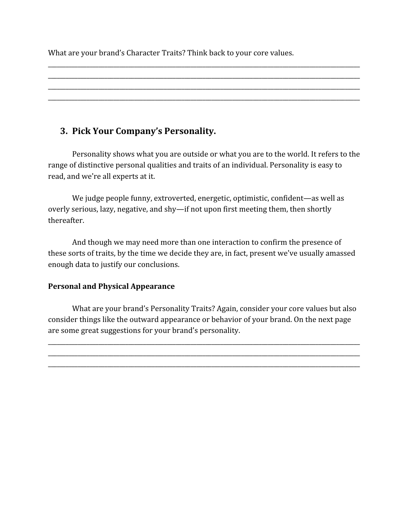What are your brand's Character Traits? Think back to your core values.

# **3. Pick Your Company's Personality.**

Personality shows what you are outside or what you are to the world. It refers to the range of distinctive personal qualities and traits of an individual. Personality is easy to read, and we're all experts at it.

\_\_\_\_\_\_\_\_\_\_\_\_\_\_\_\_\_\_\_\_\_\_\_\_\_\_\_\_\_\_\_\_\_\_\_\_\_\_\_\_\_\_\_\_\_\_\_\_\_\_\_\_\_\_\_\_\_\_\_\_\_\_\_\_\_\_\_\_\_\_\_\_\_\_\_\_\_\_\_\_\_\_\_\_\_\_\_\_\_\_\_\_\_\_\_\_\_\_\_\_\_\_\_\_\_ \_\_\_\_\_\_\_\_\_\_\_\_\_\_\_\_\_\_\_\_\_\_\_\_\_\_\_\_\_\_\_\_\_\_\_\_\_\_\_\_\_\_\_\_\_\_\_\_\_\_\_\_\_\_\_\_\_\_\_\_\_\_\_\_\_\_\_\_\_\_\_\_\_\_\_\_\_\_\_\_\_\_\_\_\_\_\_\_\_\_\_\_\_\_\_\_\_\_\_\_\_\_\_\_\_ \_\_\_\_\_\_\_\_\_\_\_\_\_\_\_\_\_\_\_\_\_\_\_\_\_\_\_\_\_\_\_\_\_\_\_\_\_\_\_\_\_\_\_\_\_\_\_\_\_\_\_\_\_\_\_\_\_\_\_\_\_\_\_\_\_\_\_\_\_\_\_\_\_\_\_\_\_\_\_\_\_\_\_\_\_\_\_\_\_\_\_\_\_\_\_\_\_\_\_\_\_\_\_\_\_ \_\_\_\_\_\_\_\_\_\_\_\_\_\_\_\_\_\_\_\_\_\_\_\_\_\_\_\_\_\_\_\_\_\_\_\_\_\_\_\_\_\_\_\_\_\_\_\_\_\_\_\_\_\_\_\_\_\_\_\_\_\_\_\_\_\_\_\_\_\_\_\_\_\_\_\_\_\_\_\_\_\_\_\_\_\_\_\_\_\_\_\_\_\_\_\_\_\_\_\_\_\_\_\_\_

We judge people funny, extroverted, energetic, optimistic, confident—as well as overly serious, lazy, negative, and shy—if not upon first meeting them, then shortly thereafter.

And though we may need more than one interaction to confirm the presence of these sorts of traits, by the time we decide they are, in fact, present we've usually amassed enough data to justify our conclusions.

## **Personal and Physical Appearance**

What are your brand's Personality Traits? Again, consider your core values but also consider things like the outward appearance or behavior of your brand. On the next page are some great suggestions for your brand's personality.

\_\_\_\_\_\_\_\_\_\_\_\_\_\_\_\_\_\_\_\_\_\_\_\_\_\_\_\_\_\_\_\_\_\_\_\_\_\_\_\_\_\_\_\_\_\_\_\_\_\_\_\_\_\_\_\_\_\_\_\_\_\_\_\_\_\_\_\_\_\_\_\_\_\_\_\_\_\_\_\_\_\_\_\_\_\_\_\_\_\_\_\_\_\_\_\_\_\_\_\_\_\_\_\_\_ \_\_\_\_\_\_\_\_\_\_\_\_\_\_\_\_\_\_\_\_\_\_\_\_\_\_\_\_\_\_\_\_\_\_\_\_\_\_\_\_\_\_\_\_\_\_\_\_\_\_\_\_\_\_\_\_\_\_\_\_\_\_\_\_\_\_\_\_\_\_\_\_\_\_\_\_\_\_\_\_\_\_\_\_\_\_\_\_\_\_\_\_\_\_\_\_\_\_\_\_\_\_\_\_\_ \_\_\_\_\_\_\_\_\_\_\_\_\_\_\_\_\_\_\_\_\_\_\_\_\_\_\_\_\_\_\_\_\_\_\_\_\_\_\_\_\_\_\_\_\_\_\_\_\_\_\_\_\_\_\_\_\_\_\_\_\_\_\_\_\_\_\_\_\_\_\_\_\_\_\_\_\_\_\_\_\_\_\_\_\_\_\_\_\_\_\_\_\_\_\_\_\_\_\_\_\_\_\_\_\_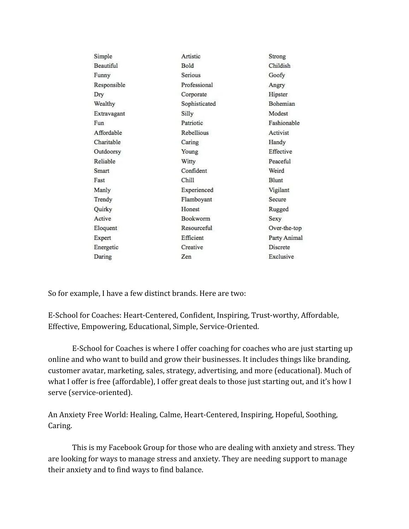| Simple            | Artistic          | Strong          |
|-------------------|-------------------|-----------------|
| <b>Beautiful</b>  | Bold              | Childish        |
| Funny             | Serious           | Goofy           |
| Responsible       | Professional      | Angry           |
| Dry               | Corporate         | Hipster         |
| Wealthy           | Sophisticated     | <b>Bohemian</b> |
| Extravagant       | Silly             | Modest          |
| Fun               | Patriotic         | Fashionable     |
| <b>Affordable</b> | <b>Rebellious</b> | Activist        |
| Charitable        | Caring            | Handy           |
| Outdoorsy         | Young             | Effective       |
| Reliable          | Witty             | Peaceful        |
| Smart             | Confident         | Weird           |
| Fast              | Chill             | <b>Blunt</b>    |
| Manly             | Experienced       | Vigilant        |
| Trendy            | Flamboyant        | Secure          |
| Quirky            | Honest            | Rugged          |
| Active            | <b>Bookworm</b>   | Sexy            |
| Eloquent          | Resourceful       | Over-the-top    |
| Expert            | Efficient         | Party Animal    |
| Energetic         | Creative          | Discrete        |
| Daring            | Zen               | Exclusive       |
|                   |                   |                 |

So for example, I have a few distinct brands. Here are two:

E-School for Coaches: Heart-Centered, Confident, Inspiring, Trust-worthy, Affordable, Effective, Empowering, Educational, Simple, Service-Oriented.

E-School for Coaches is where I offer coaching for coaches who are just starting up online and who want to build and grow their businesses. It includes things like branding, customer avatar, marketing, sales, strategy, advertising, and more (educational). Much of what I offer is free (affordable), I offer great deals to those just starting out, and it's how I serve (service-oriented).

An Anxiety Free World: Healing, Calme, Heart-Centered, Inspiring, Hopeful, Soothing, Caring.

This is my Facebook Group for those who are dealing with anxiety and stress. They are looking for ways to manage stress and anxiety. They are needing support to manage their anxiety and to find ways to find balance.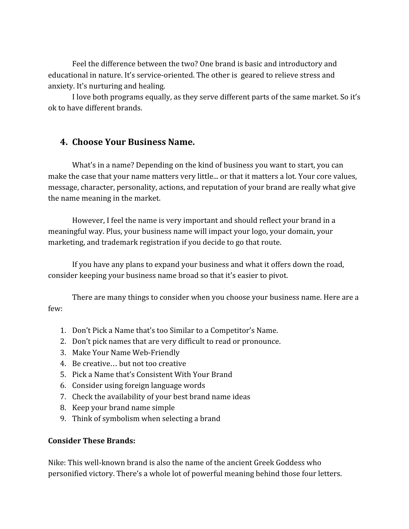Feel the difference between the two? One brand is basic and introductory and educational in nature. It's service-oriented. The other is geared to relieve stress and anxiety. It's nurturing and healing.

I love both programs equally, as they serve different parts of the same market. So it's ok to have different brands.

# **4. Choose Your Business Name.**

What's in a name? Depending on the kind of business you want to start, you can make the case that your name matters very little... or that it matters a lot. Your core values, message, character, personality, actions, and reputation of your brand are really what give the name meaning in the market.

However, I feel the name is very important and should reflect your brand in a meaningful way. Plus, your business name will impact your logo, your domain, your marketing, and trademark registration if you decide to go that route.

If you have any plans to expand your business and what it offers down the road, consider keeping your business name broad so that it's easier to pivot.

There are many things to consider when you choose your business name. Here are a few:

- 1. Don't Pick a Name that's too Similar to a Competitor's Name.
- 2. Don't pick names that are very difficult to read or pronounce.
- 3. Make Your Name Web-Friendly
- 4. Be creative… but not too creative
- 5. Pick a Name that's Consistent With Your Brand
- 6. Consider using foreign language words
- 7. Check the availability of your best brand name ideas
- 8. Keep your brand name simple
- 9. Think of symbolism when selecting a brand

#### **Consider These Brands:**

Nike: This well-known brand is also the name of the ancient Greek Goddess who personified victory. There's a whole lot of powerful meaning behind those four letters.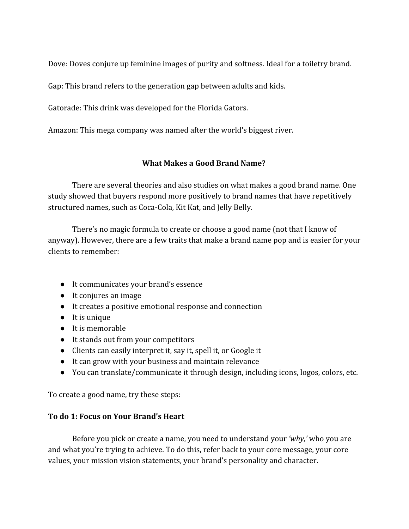Dove: Doves conjure up feminine images of purity and softness. Ideal for a toiletry brand.

Gap: This brand refers to the generation gap between adults and kids.

Gatorade: This drink was developed for the Florida Gators.

Amazon: This mega company was named after the world's biggest river.

# **What Makes a Good Brand Name?**

There are several theories and also studies on what makes a good brand name. One study showed that buyers respond more positively to brand names that have repetitively structured names, such as Coca-Cola, Kit Kat, and Jelly Belly.

There's no magic formula to create or choose a good name (not that I know of anyway). However, there are a few traits that make a brand name pop and is easier for your clients to remember:

- It communicates your brand's essence
- It conjures an image
- It creates a positive emotional response and connection
- It is unique
- It is memorable
- It stands out from your competitors
- Clients can easily interpret it, say it, spell it, or Google it
- It can grow with your business and maintain relevance
- You can translate/communicate it through design, including icons, logos, colors, etc.

To create a good name, try these steps:

# **To do 1: Focus on Your Brand's Heart**

Before you pick or create a name, you need to understand your *'why,'* who you are and what you're trying to achieve. To do this, refer back to your core message, your core values, your mission vision statements, your brand's personality and character.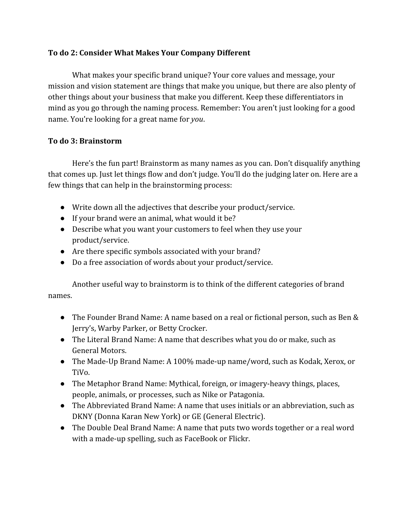#### **To do 2: Consider What Makes Your Company Different**

What makes your specific brand unique? Your core values and message, your mission and vision statement are things that make you unique, but there are also plenty of other things about your business that make you different. Keep these differentiators in mind as you go through the naming process. Remember: You aren't just looking for a good name. You're looking for a great name for *you*.

#### **To do 3: Brainstorm**

Here's the fun part! Brainstorm as many names as you can. Don't disqualify anything that comes up. Just let things flow and don't judge. You'll do the judging later on. Here are a few things that can help in the brainstorming process:

- Write down all the adjectives that describe your product/service.
- If your brand were an animal, what would it be?
- Describe what you want your customers to feel when they use your product/service.
- Are there specific symbols associated with your brand?
- Do a free association of words about your product/service.

Another useful way to brainstorm is to think of the different categories of brand names.

- The Founder Brand Name: A name based on a real or fictional person, such as Ben & Jerry's, Warby Parker, or Betty Crocker.
- The Literal Brand Name: A name that describes what you do or make, such as General Motors.
- The Made-Up Brand Name: A 100% made-up name/word, such as Kodak, Xerox, or TiVo.
- The Metaphor Brand Name: Mythical, foreign, or imagery-heavy things, places, people, animals, or processes, such as Nike or Patagonia.
- The Abbreviated Brand Name: A name that uses initials or an abbreviation, such as DKNY (Donna Karan New York) or GE (General Electric).
- The Double Deal Brand Name: A name that puts two words together or a real word with a made-up spelling, such as FaceBook or Flickr.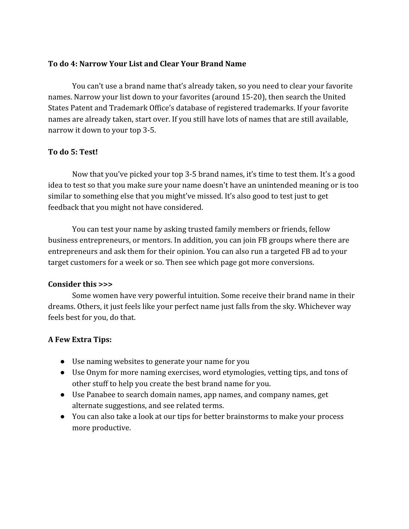#### **To do 4: Narrow Your List and Clear Your Brand Name**

You can't use a brand name that's already taken, so you need to clear your favorite names. Narrow your list down to your favorites (around 15-20), then search the United States Patent and Trademark Office's database of registered trademarks. If your favorite names are already taken, start over. If you still have lots of names that are still available, narrow it down to your top 3-5.

#### **To do 5: Test!**

Now that you've picked your top 3-5 brand names, it's time to test them. It's a good idea to test so that you make sure your name doesn't have an unintended meaning or is too similar to something else that you might've missed. It's also good to test just to get feedback that you might not have considered.

You can test your name by asking trusted family members or friends, fellow business entrepreneurs, or mentors. In addition, you can join FB groups where there are entrepreneurs and ask them for their opinion. You can also run a targeted FB ad to your target customers for a week or so. Then see which page got more conversions.

#### **Consider this >>>**

Some women have very powerful intuition. Some receive their brand name in their dreams. Others, it just feels like your perfect name just falls from the sky. Whichever way feels best for you, do that.

## **A Few Extra Tips:**

- Use naming websites to generate your name for you
- Use Onym for more naming exercises, word etymologies, vetting tips, and tons of other stuff to help you create the best brand name for you.
- Use Panabee to search domain names, app names, and company names, get alternate suggestions, and see related terms.
- You can also take a look at our tips for better brainstorms to make your process more productive.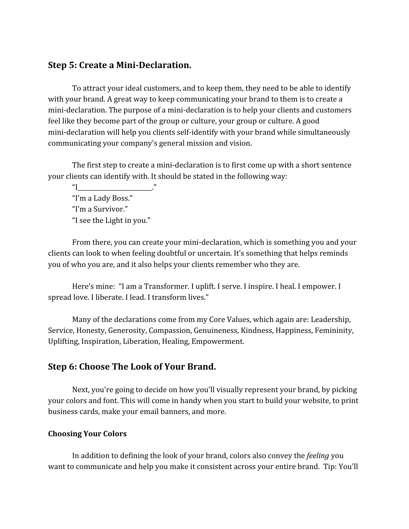# **Step 5: Create a Mini-Declaration.**

To attract your ideal customers, and to keep them, they need to be able to identify with your brand. A great way to keep communicating your brand to them is to create a mini-declaration. The purpose of a mini-declaration is to help your clients and customers feel like they become part of the group or culture, your group or culture. A good mini-declaration will help you clients self-identify with your brand while simultaneously communicating your company's general mission and vision.

The first step to create a mini-declaration is to first come up with a short sentence your clients can identify with. It should be stated in the following way:

 $\mathbb{I}$   $\mathbb{I}$ "I'm a Lady Boss." "I'm a Survivor." "I see the Light in you."

From there, you can create your mini-declaration, which is something you and your clients can look to when feeling doubtful or uncertain. It's something that helps reminds you of who you are, and it also helps your clients remember who they are.

Here's mine: "I am a Transformer. I uplift. I serve. I inspire. I heal. I empower. I spread love. I liberate. I lead. I transform lives."

Many of the declarations come from my Core Values, which again are: Leadership, Service, Honesty, Generosity, Compassion, Genuineness, Kindness, Happiness, Femininity, Uplifting, Inspiration, Liberation, Healing, Empowerment.

## **Step 6: Choose The Look of Your Brand.**

Next, you're going to decide on how you'll visually represent your brand, by picking your colors and font. This will come in handy when you start to build your website, to print business cards, make your email banners, and more.

#### **Choosing Your Colors**

In addition to defining the look of your brand, colors also convey the *feeling* you want to communicate and help you make it consistent across your entire brand. Tip: You'll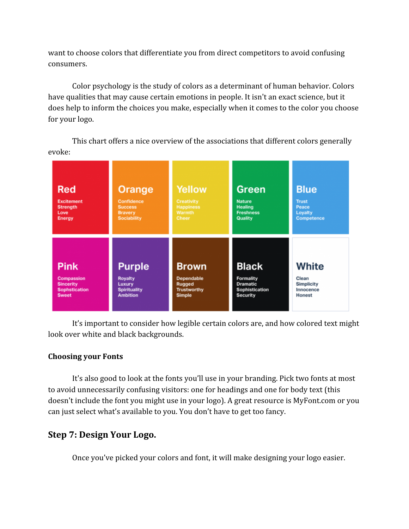want to choose colors that differentiate you from direct competitors to avoid confusing consumers.

Color psychology is the study of colors as a determinant of human behavior. Colors have qualities that may cause certain emotions in people. It isn't an exact science, but it does help to inform the choices you make, especially when it comes to the color you choose for your logo.

This chart offers a nice overview of the associations that different colors generally evoke:



It's important to consider how legible certain colors are, and how colored text might look over white and black backgrounds.

## **Choosing your Fonts**

It's also good to look at the fonts you'll use in your branding. Pick two fonts at most to avoid unnecessarily confusing visitors: one for headings and one for body text (this doesn't include the font you might use in your logo). A great resource is MyFont.com or you can just select what's available to you. You don't have to get too fancy.

# **Step 7: Design Your Logo.**

Once you've picked your colors and font, it will make designing your logo easier.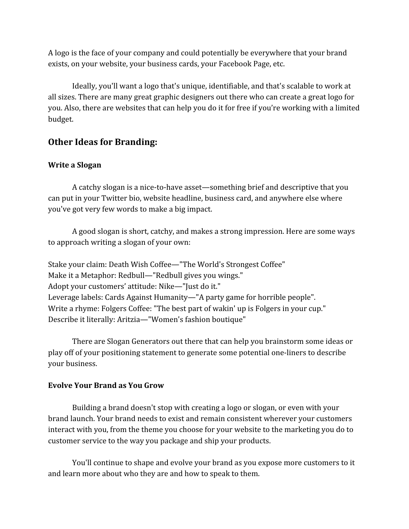A logo is the face of your company and could potentially be everywhere that your brand exists, on your website, your business cards, your Facebook Page, etc.

Ideally, you'll want a logo that's unique, identifiable, and that's scalable to work at all sizes. There are many great graphic designers out there who can create a great logo for you. Also, there are websites that can help you do it for free if you're working with a limited budget.

# **Other Ideas for Branding:**

#### **Write a Slogan**

A catchy slogan is a nice-to-have asset—something brief and descriptive that you can put in your Twitter bio, website headline, business card, and anywhere else where you've got very few words to make a big impact.

A good slogan is short, catchy, and makes a strong impression. Here are some ways to approach writing a slogan of your own:

Stake your claim: Death Wish Coffee—"The World's Strongest Coffee" Make it a Metaphor: Redbull—"Redbull gives you wings." Adopt your customers' attitude: Nike—"Just do it." Leverage labels: Cards Against Humanity—"A party game for horrible people". Write a rhyme: Folgers Coffee: "The best part of wakin' up is Folgers in your cup." Describe it literally: Aritzia—"Women's fashion boutique"

There are Slogan Generators out there that can help you brainstorm some ideas or play off of your positioning statement to generate some potential one-liners to describe your business.

#### **Evolve Your Brand as You Grow**

Building a brand doesn't stop with creating a logo or slogan, or even with your brand launch. Your brand needs to exist and remain consistent wherever your customers interact with you, from the theme you choose for your website to the marketing you do to customer service to the way you package and ship your products.

You'll continue to shape and evolve your brand as you expose more customers to it and learn more about who they are and how to speak to them.